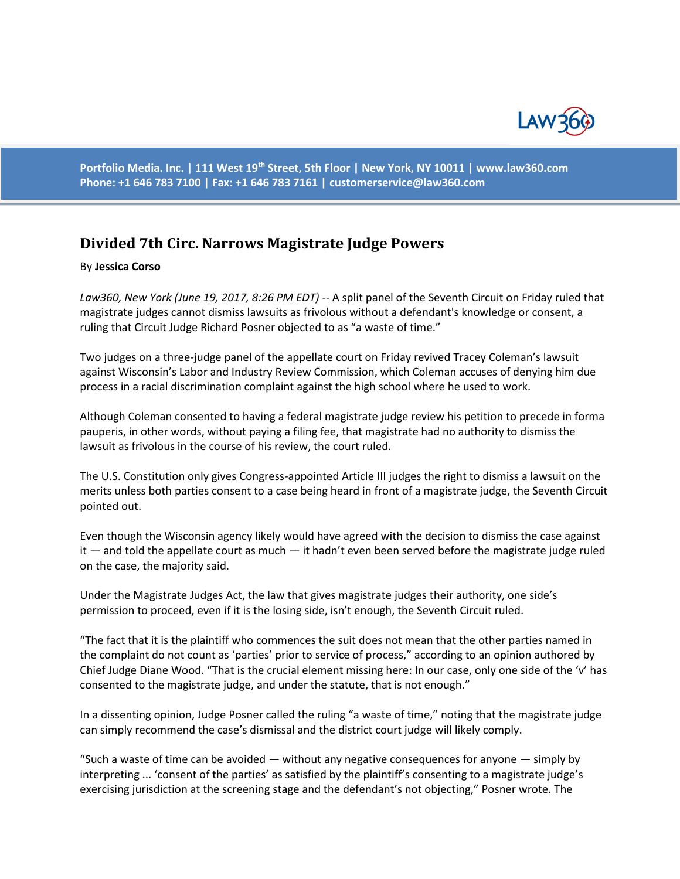

**Portfolio Media. Inc. | 111 West 19th Street, 5th Floor | New York, NY 10011 | www.law360.com Phone: +1 646 783 7100 | Fax: +1 646 783 7161 | [customerservice@law360.com](mailto:customerservice@law360.com)**

## **Divided 7th Circ. Narrows Magistrate Judge Powers**

## By **Jessica Corso**

*Law360, New York (June 19, 2017, 8:26 PM EDT) --* A split panel of the Seventh Circuit on Friday ruled that magistrate judges cannot dismiss lawsuits as frivolous without a defendant's knowledge or consent, a ruling that Circuit Judge Richard Posner objected to as "a waste of time."

Two judges on a three-judge panel of the appellate court on Friday revived Tracey Coleman's lawsuit against Wisconsin's Labor and Industry Review Commission, which Coleman accuses of denying him due process in a racial discrimination complaint against the high school where he used to work.

Although Coleman consented to having a federal magistrate judge review his petition to precede in forma pauperis, in other words, without paying a filing fee, that magistrate had no authority to dismiss the lawsuit as frivolous in the course of his review, the court ruled.

The U.S. Constitution only gives Congress-appointed Article III judges the right to dismiss a lawsuit on the merits unless both parties consent to a case being heard in front of a magistrate judge, the Seventh Circuit pointed out.

Even though the Wisconsin agency likely would have agreed with the decision to dismiss the case against  $it$  — and told the appellate court as much — it hadn't even been served before the magistrate judge ruled on the case, the majority said.

Under the Magistrate Judges Act, the law that gives magistrate judges their authority, one side's permission to proceed, even if it is the losing side, isn't enough, the Seventh Circuit ruled.

"The fact that it is the plaintiff who commences the suit does not mean that the other parties named in the complaint do not count as 'parties' prior to service of process," according to an opinion authored by Chief Judge Diane Wood. "That is the crucial element missing here: In our case, only one side of the 'v' has consented to the magistrate judge, and under the statute, that is not enough."

In a dissenting opinion, Judge Posner called the ruling "a waste of time," noting that the magistrate judge can simply recommend the case's dismissal and the district court judge will likely comply.

"Such a waste of time can be avoided  $-$  without any negative consequences for anyone  $-$  simply by interpreting ... 'consent of the parties' as satisfied by the plaintiff's consenting to a magistrate judge's exercising jurisdiction at the screening stage and the defendant's not objecting," Posner wrote. The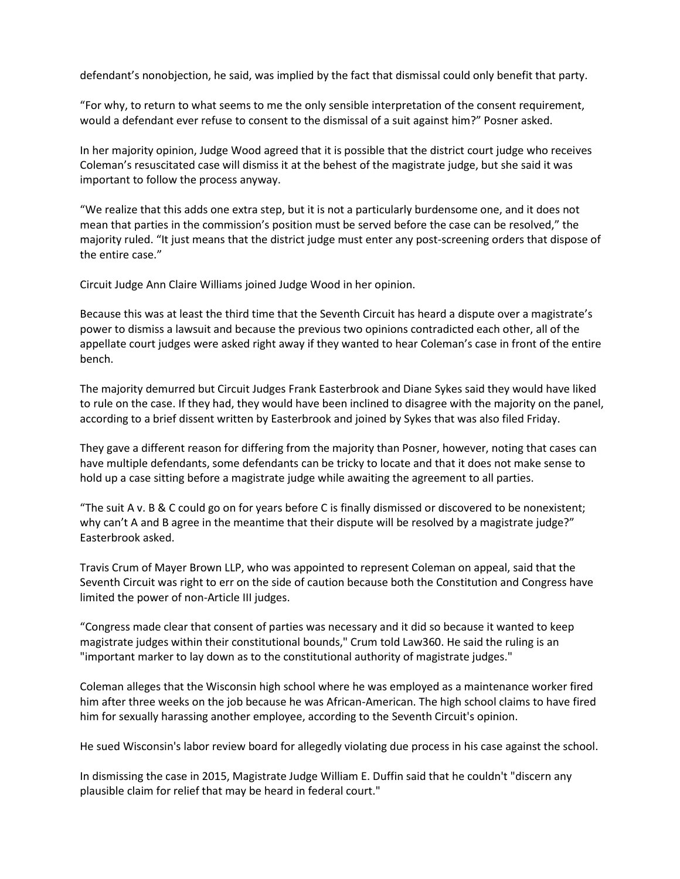defendant's nonobjection, he said, was implied by the fact that dismissal could only benefit that party.

"For why, to return to what seems to me the only sensible interpretation of the consent requirement, would a defendant ever refuse to consent to the dismissal of a suit against him?" Posner asked.

In her majority opinion, Judge Wood agreed that it is possible that the district court judge who receives Coleman's resuscitated case will dismiss it at the behest of the magistrate judge, but she said it was important to follow the process anyway.

"We realize that this adds one extra step, but it is not a particularly burdensome one, and it does not mean that parties in the commission's position must be served before the case can be resolved," the majority ruled. "It just means that the district judge must enter any post‐screening orders that dispose of the entire case."

Circuit Judge Ann Claire Williams joined Judge Wood in her opinion.

Because this was at least the third time that the Seventh Circuit has heard a dispute over a magistrate's power to dismiss a lawsuit and because the previous two opinions contradicted each other, all of the appellate court judges were asked right away if they wanted to hear Coleman's case in front of the entire bench.

The majority demurred but Circuit Judges Frank Easterbrook and Diane Sykes said they would have liked to rule on the case. If they had, they would have been inclined to disagree with the majority on the panel, according to a brief dissent written by Easterbrook and joined by Sykes that was also filed Friday.

They gave a different reason for differing from the majority than Posner, however, noting that cases can have multiple defendants, some defendants can be tricky to locate and that it does not make sense to hold up a case sitting before a magistrate judge while awaiting the agreement to all parties.

"The suit A v. B & C could go on for years before C is finally dismissed or discovered to be nonexistent; why can't A and B agree in the meantime that their dispute will be resolved by a magistrate judge?" Easterbrook asked.

Travis Crum of Mayer Brown LLP, who was appointed to represent Coleman on appeal, said that the Seventh Circuit was right to err on the side of caution because both the Constitution and Congress have limited the power of non-Article III judges.

"Congress made clear that consent of parties was necessary and it did so because it wanted to keep magistrate judges within their constitutional bounds," Crum told Law360. He said the ruling is an "important marker to lay down as to the constitutional authority of magistrate judges."

Coleman alleges that the Wisconsin high school where he was employed as a maintenance worker fired him after three weeks on the job because he was African-American. The high school claims to have fired him for sexually harassing another employee, according to the Seventh Circuit's opinion.

He sued Wisconsin's labor review board for allegedly violating due process in his case against the school.

In dismissing the case in 2015, Magistrate Judge William E. Duffin said that he couldn't "discern any plausible claim for relief that may be heard in federal court."